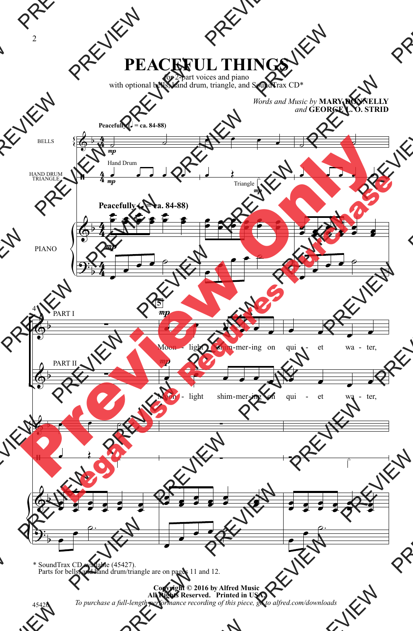## **PEACEFUL THINGS**

for 2-part voices and piano

with optional bells, hand drum, triangle, and SoundTrax CD\*

*Words and Music by* **MARY DONNELLY** *and* **GEORGE L. O. STRID**



<sup>\*</sup> SoundTrax CD available (45427). Parts for bells, and hand drum/triangle are on pages 11 and 12.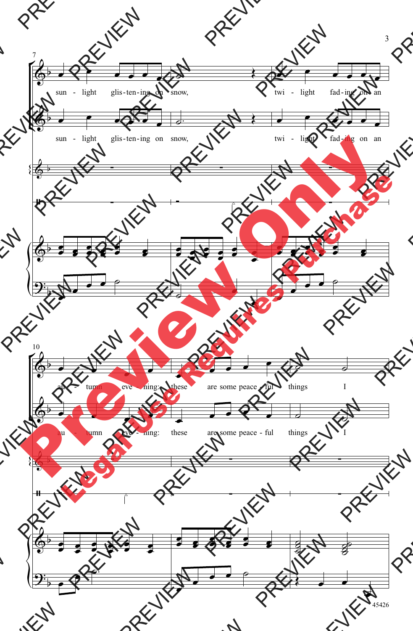

45426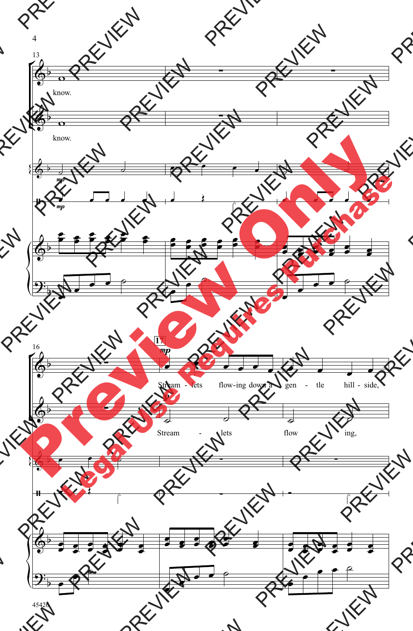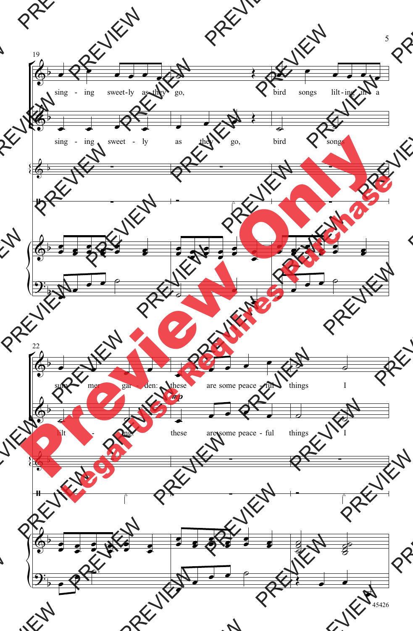

5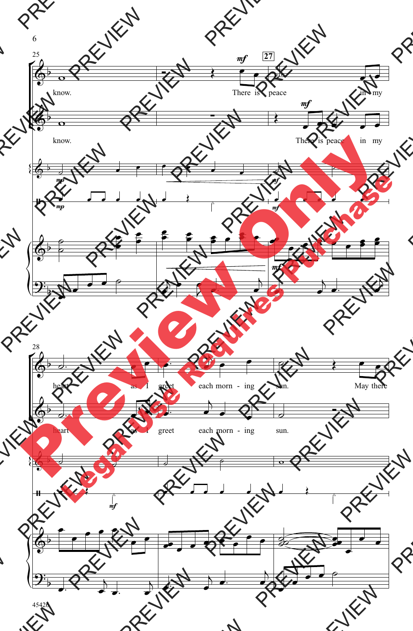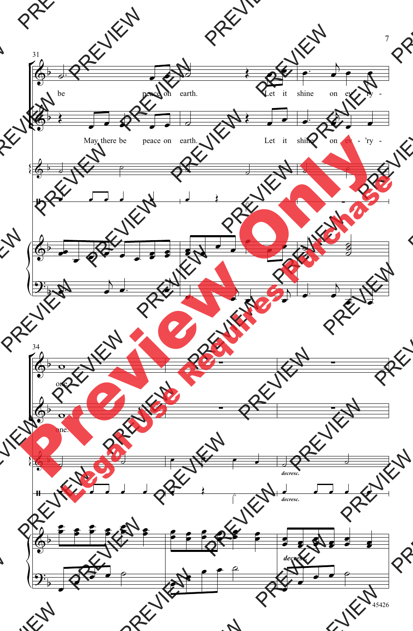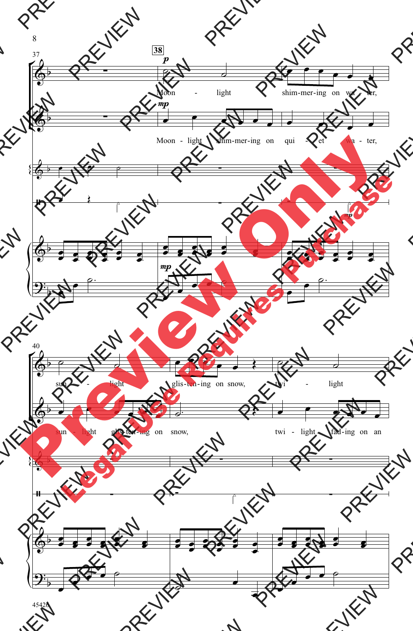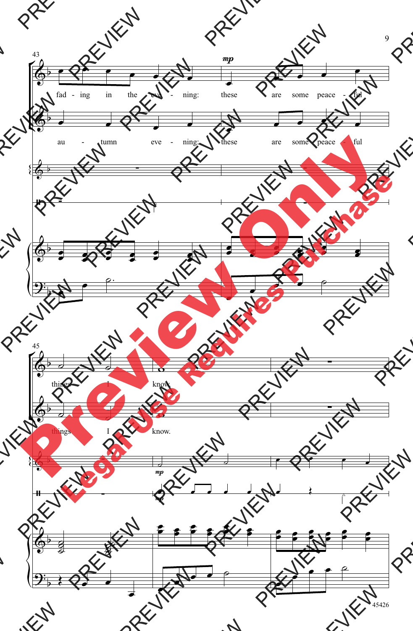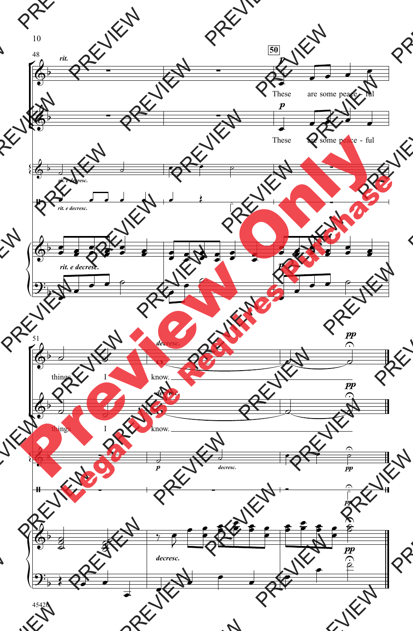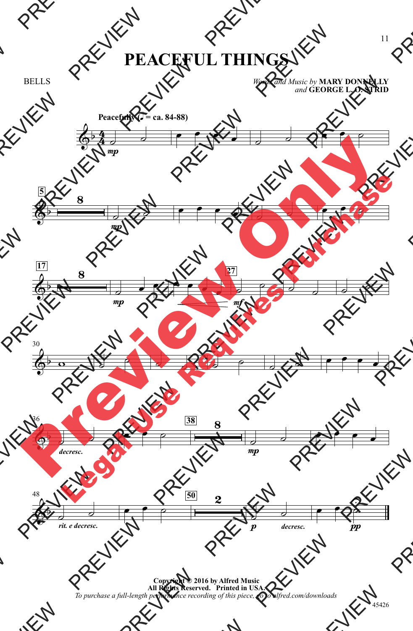## **PEACEFUL THINGS**

BELLS *Words and Music by* **MARY DONNELLY** *and* **GEORGE L. O. STRID**